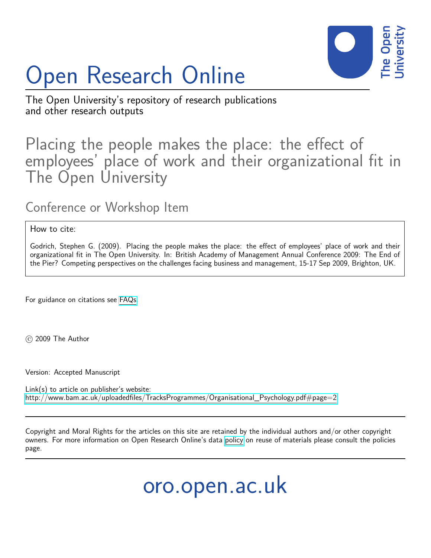

# Open Research Online

The Open University's repository of research publications and other research outputs

## Placing the people makes the place: the effect of employees' place of work and their organizational fit in The Open University

### Conference or Workshop Item

How to cite:

Godrich, Stephen G. (2009). Placing the people makes the place: the effect of employees' place of work and their organizational fit in The Open University. In: British Academy of Management Annual Conference 2009: The End of the Pier? Competing perspectives on the challenges facing business and management, 15-17 Sep 2009, Brighton, UK.

For guidance on citations see [FAQs.](http://oro.open.ac.uk/help/helpfaq.html)

 $(c)$  2009 The Author

Version: Accepted Manuscript

Link(s) to article on publisher's website: [http://www.bam.ac.uk/uploadedfiles/TracksProgrammes/Organisational\\_Psychology.pdf#page=2](http://www.bam.ac.uk/uploadedfiles/TracksProgrammes/Organisational_Psychology.pdf#page=2)

Copyright and Moral Rights for the articles on this site are retained by the individual authors and/or other copyright owners. For more information on Open Research Online's data [policy](http://oro.open.ac.uk/policies.html) on reuse of materials please consult the policies page.

oro.open.ac.uk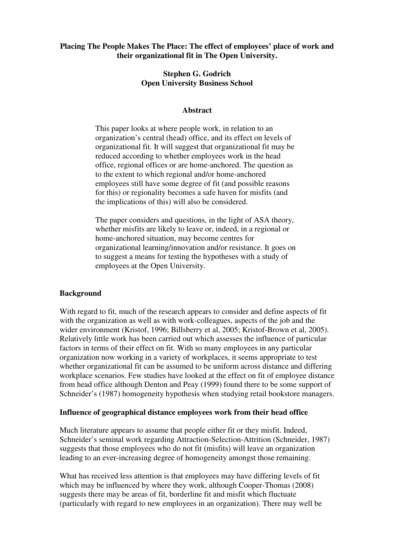#### **Placing The People Makes The Place: The effect of employees' place of work and their organizational fit in The Open University.**

#### **Stephen G. Godrich Open University Business School**

#### **Abstract**

This paper looks at where people work, in relation to an organization's central (head) office, and its effect on levels of organizational fit. It will suggest that organizational fit may be reduced according to whether employees work in the head office, regional offices or are home-anchored. The question as to the extent to which regional and/or home-anchored employees still have some degree of fit (and possible reasons for this) or regionality becomes a safe haven for misfits (and the implications of this) will also be considered.

The paper considers and questions, in the light of ASA theory, whether misfits are likely to leave or, indeed, in a regional or home-anchored situation, may become centres for organizational learning/innovation and/or resistance. It goes on to suggest a means for testing the hypotheses with a study of employees at the Open University.

#### **Background**

With regard to fit, much of the research appears to consider and define aspects of fit with the organization as well as with work-colleagues, aspects of the job and the wider environment (Kristof, 1996; Billsberry et al, 2005; Kristof-Brown et al, 2005). Relatively little work has been carried out which assesses the influence of particular factors in terms of their effect on fit. With so many employees in any particular organization now working in a variety of workplaces, it seems appropriate to test whether organizational fit can be assumed to be uniform across distance and differing workplace scenarios. Few studies have looked at the effect on fit of employee distance from head office although Denton and Peay (1999) found there to be some support of Schneider's (1987) homogeneity hypothesis when studying retail bookstore managers.

#### **Influence of geographical distance employees work from their head office**

Much literature appears to assume that people either fit or they misfit. Indeed, Schneider's seminal work regarding Attraction-Selection-Attrition (Schneider, 1987) suggests that those employees who do not fit (misfits) will leave an organization leading to an ever-increasing degree of homogeneity amongst those remaining.

What has received less attention is that employees may have differing levels of fit which may be influenced by where they work, although Cooper-Thomas (2008) suggests there may be areas of fit, borderline fit and misfit which fluctuate (particularly with regard to new employees in an organization). There may well be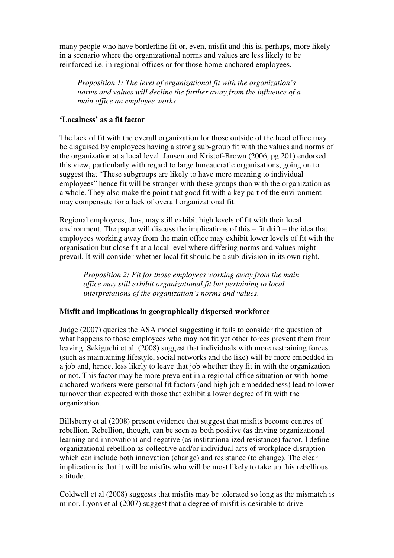many people who have borderline fit or, even, misfit and this is, perhaps, more likely in a scenario where the organizational norms and values are less likely to be reinforced i.e. in regional offices or for those home-anchored employees.

*Proposition 1: The level of organizational fit with the organization's norms and values will decline the further away from the influence of a main office an employee works*.

#### **'Localness' as a fit factor**

The lack of fit with the overall organization for those outside of the head office may be disguised by employees having a strong sub-group fit with the values and norms of the organization at a local level. Jansen and Kristof-Brown (2006, pg 201) endorsed this view, particularly with regard to large bureaucratic organisations, going on to suggest that "These subgroups are likely to have more meaning to individual employees" hence fit will be stronger with these groups than with the organization as a whole. They also make the point that good fit with a key part of the environment may compensate for a lack of overall organizational fit.

Regional employees, thus, may still exhibit high levels of fit with their local environment. The paper will discuss the implications of this – fit drift – the idea that employees working away from the main office may exhibit lower levels of fit with the organisation but close fit at a local level where differing norms and values might prevail. It will consider whether local fit should be a sub-division in its own right.

*Proposition 2: Fit for those employees working away from the main office may still exhibit organizational fit but pertaining to local interpretations of the organization's norms and values*.

#### **Misfit and implications in geographically dispersed workforce**

Judge (2007) queries the ASA model suggesting it fails to consider the question of what happens to those employees who may not fit yet other forces prevent them from leaving. Sekiguchi et al. (2008) suggest that individuals with more restraining forces (such as maintaining lifestyle, social networks and the like) will be more embedded in a job and, hence, less likely to leave that job whether they fit in with the organization or not. This factor may be more prevalent in a regional office situation or with homeanchored workers were personal fit factors (and high job embeddedness) lead to lower turnover than expected with those that exhibit a lower degree of fit with the organization.

Billsberry et al (2008) present evidence that suggest that misfits become centres of rebellion. Rebellion, though, can be seen as both positive (as driving organizational learning and innovation) and negative (as institutionalized resistance) factor. I define organizational rebellion as collective and/or individual acts of workplace disruption which can include both innovation (change) and resistance (to change). The clear implication is that it will be misfits who will be most likely to take up this rebellious attitude.

Coldwell et al (2008) suggests that misfits may be tolerated so long as the mismatch is minor. Lyons et al (2007) suggest that a degree of misfit is desirable to drive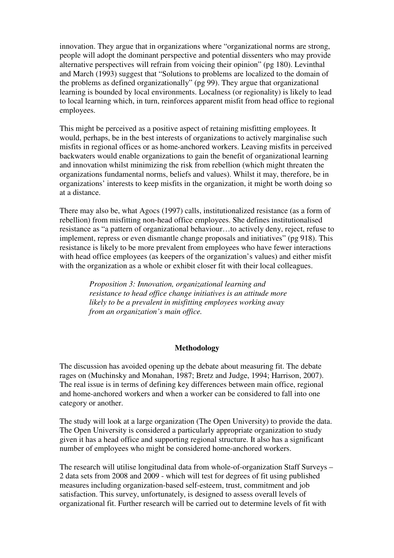innovation. They argue that in organizations where "organizational norms are strong, people will adopt the dominant perspective and potential dissenters who may provide alternative perspectives will refrain from voicing their opinion" (pg 180). Levinthal and March (1993) suggest that "Solutions to problems are localized to the domain of the problems as defined organizationally" (pg 99). They argue that organizational learning is bounded by local environments. Localness (or regionality) is likely to lead to local learning which, in turn, reinforces apparent misfit from head office to regional employees.

This might be perceived as a positive aspect of retaining misfitting employees. It would, perhaps, be in the best interests of organizations to actively marginalise such misfits in regional offices or as home-anchored workers. Leaving misfits in perceived backwaters would enable organizations to gain the benefit of organizational learning and innovation whilst minimizing the risk from rebellion (which might threaten the organizations fundamental norms, beliefs and values). Whilst it may, therefore, be in organizations' interests to keep misfits in the organization, it might be worth doing so at a distance.

There may also be, what Agocs (1997) calls, institutionalized resistance (as a form of rebellion) from misfitting non-head office employees. She defines institutionalised resistance as "a pattern of organizational behaviour…to actively deny, reject, refuse to implement, repress or even dismantle change proposals and initiatives" (pg 918). This resistance is likely to be more prevalent from employees who have fewer interactions with head office employees (as keepers of the organization's values) and either misfit with the organization as a whole or exhibit closer fit with their local colleagues.

> *Proposition 3: Innovation, organizational learning and resistance to head office change initiatives is an attitude more likely to be a prevalent in misfitting employees working away from an organization's main office.*

#### **Methodology**

The discussion has avoided opening up the debate about measuring fit. The debate rages on (Muchinsky and Monahan, 1987; Bretz and Judge, 1994; Harrison, 2007). The real issue is in terms of defining key differences between main office, regional and home-anchored workers and when a worker can be considered to fall into one category or another.

The study will look at a large organization (The Open University) to provide the data. The Open University is considered a particularly appropriate organization to study given it has a head office and supporting regional structure. It also has a significant number of employees who might be considered home-anchored workers.

The research will utilise longitudinal data from whole-of-organization Staff Surveys – 2 data sets from 2008 and 2009 - which will test for degrees of fit using published measures including organization-based self-esteem, trust, commitment and job satisfaction. This survey, unfortunately, is designed to assess overall levels of organizational fit. Further research will be carried out to determine levels of fit with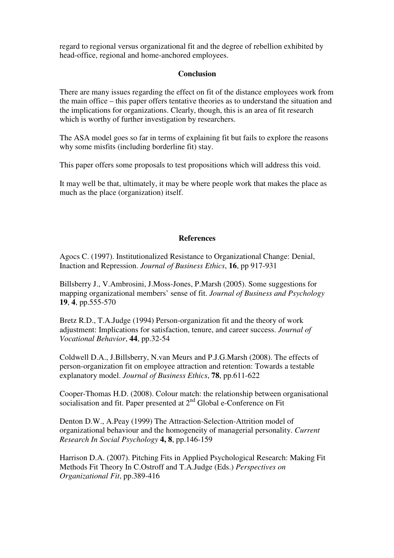regard to regional versus organizational fit and the degree of rebellion exhibited by head-office, regional and home-anchored employees.

#### **Conclusion**

There are many issues regarding the effect on fit of the distance employees work from the main office – this paper offers tentative theories as to understand the situation and the implications for organizations. Clearly, though, this is an area of fit research which is worthy of further investigation by researchers.

The ASA model goes so far in terms of explaining fit but fails to explore the reasons why some misfits (including borderline fit) stay.

This paper offers some proposals to test propositions which will address this void.

It may well be that, ultimately, it may be where people work that makes the place as much as the place (organization) itself.

#### **References**

Agocs C. (1997). Institutionalized Resistance to Organizational Change: Denial, Inaction and Repression. *Journal of Business Ethics*, **16**, pp 917-931

Billsberry J., V.Ambrosini, J.Moss-Jones, P.Marsh (2005). Some suggestions for mapping organizational members' sense of fit. *Journal of Business and Psychology* **19**, **4**, pp.555-570

Bretz R.D., T.A.Judge (1994) Person-organization fit and the theory of work adjustment: Implications for satisfaction, tenure, and career success. *Journal of Vocational Behavior*, **44**, pp.32-54

Coldwell D.A., J.Billsberry, N.van Meurs and P.J.G.Marsh (2008). The effects of person-organization fit on employee attraction and retention: Towards a testable explanatory model. *Journal of Business Ethics*, **78**, pp.611-622

Cooper-Thomas H.D. (2008). Colour match: the relationship between organisational socialisation and fit. Paper presented at  $2<sup>nd</sup>$  Global e-Conference on Fit

Denton D.W., A.Peay (1999) The Attraction-Selection-Attrition model of organizational behaviour and the homogeneity of managerial personality. *Current Research In Social Psychology* **4, 8**, pp.146-159

Harrison D.A. (2007). Pitching Fits in Applied Psychological Research: Making Fit Methods Fit Theory In C.Ostroff and T.A.Judge (Eds.) *Perspectives on Organizational Fit*, pp.389-416